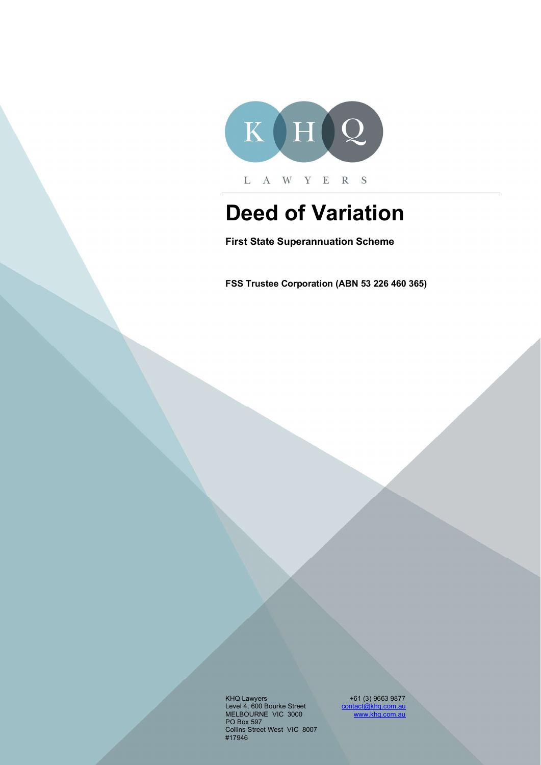

# Deed of Variation

First State Superannuation Scheme

FSS Trustee Corporation (ABN 53 226 460 365)

KHQ Lawyers +61 (3) 9663 9877 Level 4, 600 Bourke Street contact@khq.com.au contact@khq.com.au contact contact contact contact contact conta MELBOURNE VIC 3000 www.khq.com.au PO Box 597 Collins Street West VIC 8007 #17946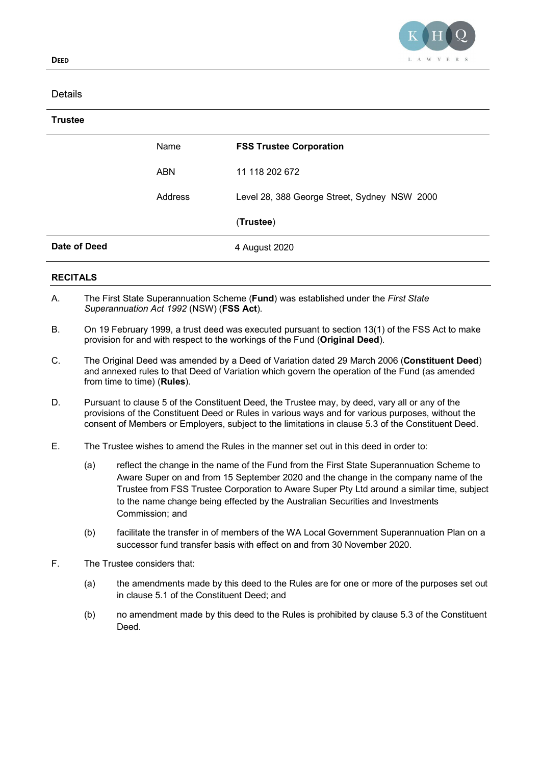

### **Details**

## **Trustee**

|                 | Name    | <b>FSS Trustee Corporation</b>               |
|-----------------|---------|----------------------------------------------|
|                 | ABN     | 11 118 202 672                               |
|                 | Address | Level 28, 388 George Street, Sydney NSW 2000 |
|                 |         | (Trustee)                                    |
| Date of Deed    |         | 4 August 2020                                |
| <b>RECITALS</b> |         |                                              |

- A. The First State Superannuation Scheme (Fund) was established under the First State Superannuation Act 1992 (NSW) (FSS Act).
- B. On 19 February 1999, a trust deed was executed pursuant to section 13(1) of the FSS Act to make provision for and with respect to the workings of the Fund (Original Deed).
- C. The Original Deed was amended by a Deed of Variation dated 29 March 2006 (Constituent Deed) and annexed rules to that Deed of Variation which govern the operation of the Fund (as amended from time to time) (Rules).
- D. Pursuant to clause 5 of the Constituent Deed, the Trustee may, by deed, vary all or any of the provisions of the Constituent Deed or Rules in various ways and for various purposes, without the consent of Members or Employers, subject to the limitations in clause 5.3 of the Constituent Deed.
- E. The Trustee wishes to amend the Rules in the manner set out in this deed in order to:
	- (a) reflect the change in the name of the Fund from the First State Superannuation Scheme to Aware Super on and from 15 September 2020 and the change in the company name of the Trustee from FSS Trustee Corporation to Aware Super Pty Ltd around a similar time, subject to the name change being effected by the Australian Securities and Investments Commission; and
	- (b) facilitate the transfer in of members of the WA Local Government Superannuation Plan on a successor fund transfer basis with effect on and from 30 November 2020.
- F. The Trustee considers that:
	- (a) the amendments made by this deed to the Rules are for one or more of the purposes set out in clause 5.1 of the Constituent Deed; and
	- (b) no amendment made by this deed to the Rules is prohibited by clause 5.3 of the Constituent Deed.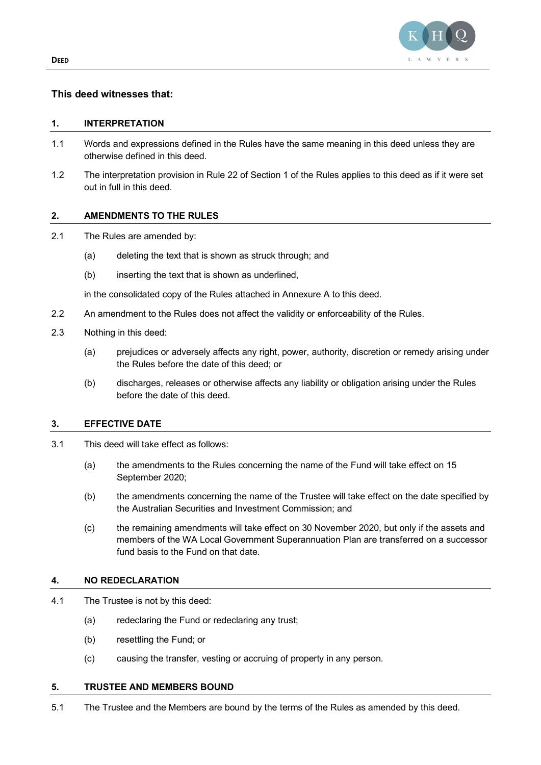

#### This deed witnesses that:

#### 1. INTERPRETATION

- 1.1 Words and expressions defined in the Rules have the same meaning in this deed unless they are otherwise defined in this deed.
- 1.2 The interpretation provision in Rule 22 of Section 1 of the Rules applies to this deed as if it were set out in full in this deed.

#### 2. AMENDMENTS TO THE RULES

- 2.1 The Rules are amended by:
	- (a) deleting the text that is shown as struck through; and
	- (b) inserting the text that is shown as underlined.

in the consolidated copy of the Rules attached in Annexure A to this deed.

- 2.2 An amendment to the Rules does not affect the validity or enforceability of the Rules.
- 2.3 Nothing in this deed:
	- (a) prejudices or adversely affects any right, power, authority, discretion or remedy arising under the Rules before the date of this deed; or
	- (b) discharges, releases or otherwise affects any liability or obligation arising under the Rules before the date of this deed.

#### 3. EFFECTIVE DATE

- 3.1 This deed will take effect as follows:
	- (a) the amendments to the Rules concerning the name of the Fund will take effect on 15 September 2020;
	- (b) the amendments concerning the name of the Trustee will take effect on the date specified by the Australian Securities and Investment Commission; and
	- (c) the remaining amendments will take effect on 30 November 2020, but only if the assets and members of the WA Local Government Superannuation Plan are transferred on a successor fund basis to the Fund on that date.

#### 4. NO REDECLARATION

- 4.1 The Trustee is not by this deed:
	- (a) redeclaring the Fund or redeclaring any trust;
	- (b) resettling the Fund; or
	- (c) causing the transfer, vesting or accruing of property in any person.

#### 5. TRUSTEE AND MEMBERS BOUND

5.1 The Trustee and the Members are bound by the terms of the Rules as amended by this deed.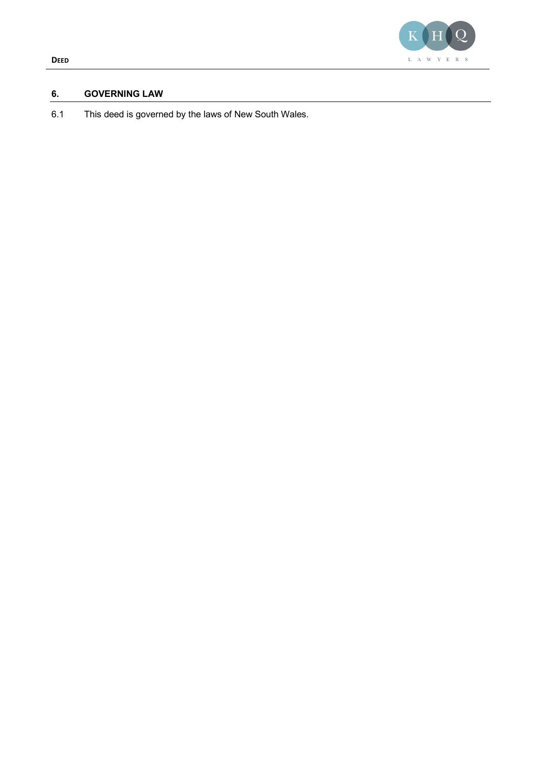

#### 6. GOVERNING LAW

6.1 This deed is governed by the laws of New South Wales.